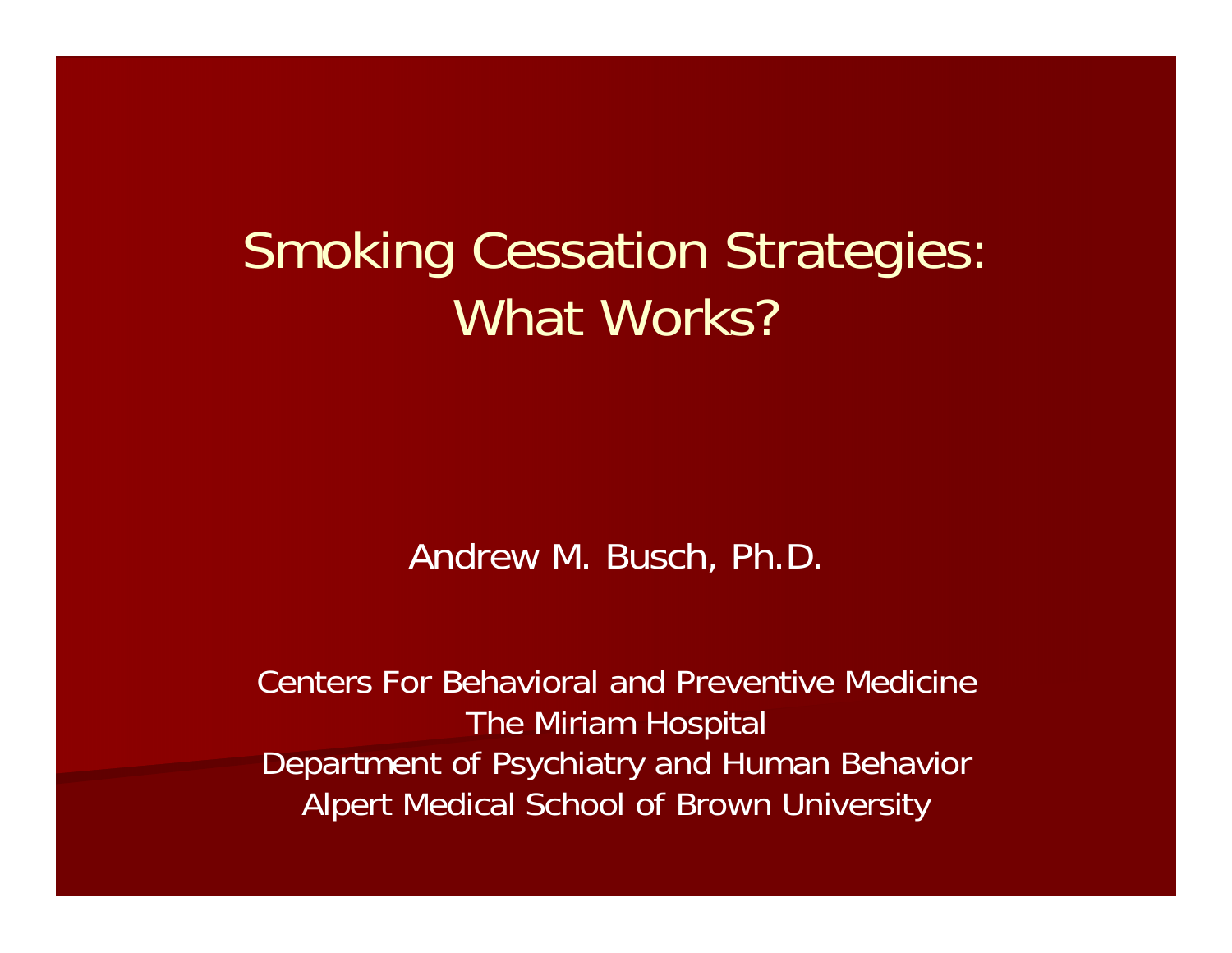### Smoking Cessation Strategies: What Works?

Andrew M. Busch, Ph.D.

Centers For Behavioral and Preventive Medicine The Miriam Hospital Department of Psychiatry and Human Behavior Alpert Medical School of Brown University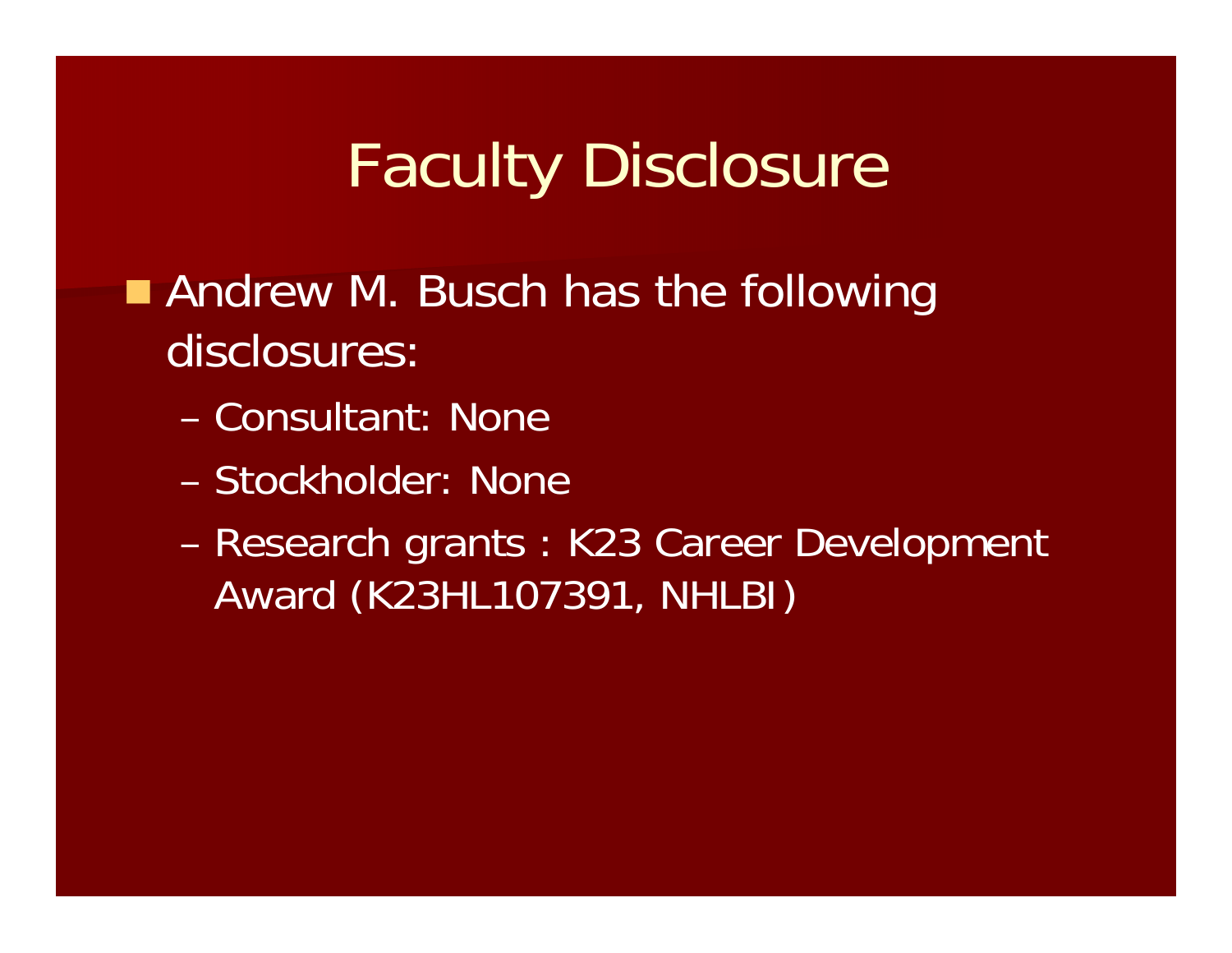## Faculty Disclosure

**Andrew M. Busch has the following** disclosures:

- Consultant: None
- Stockholder: None
- – Research grants : K23 Career Development Award (K23HL107391, NHLBI)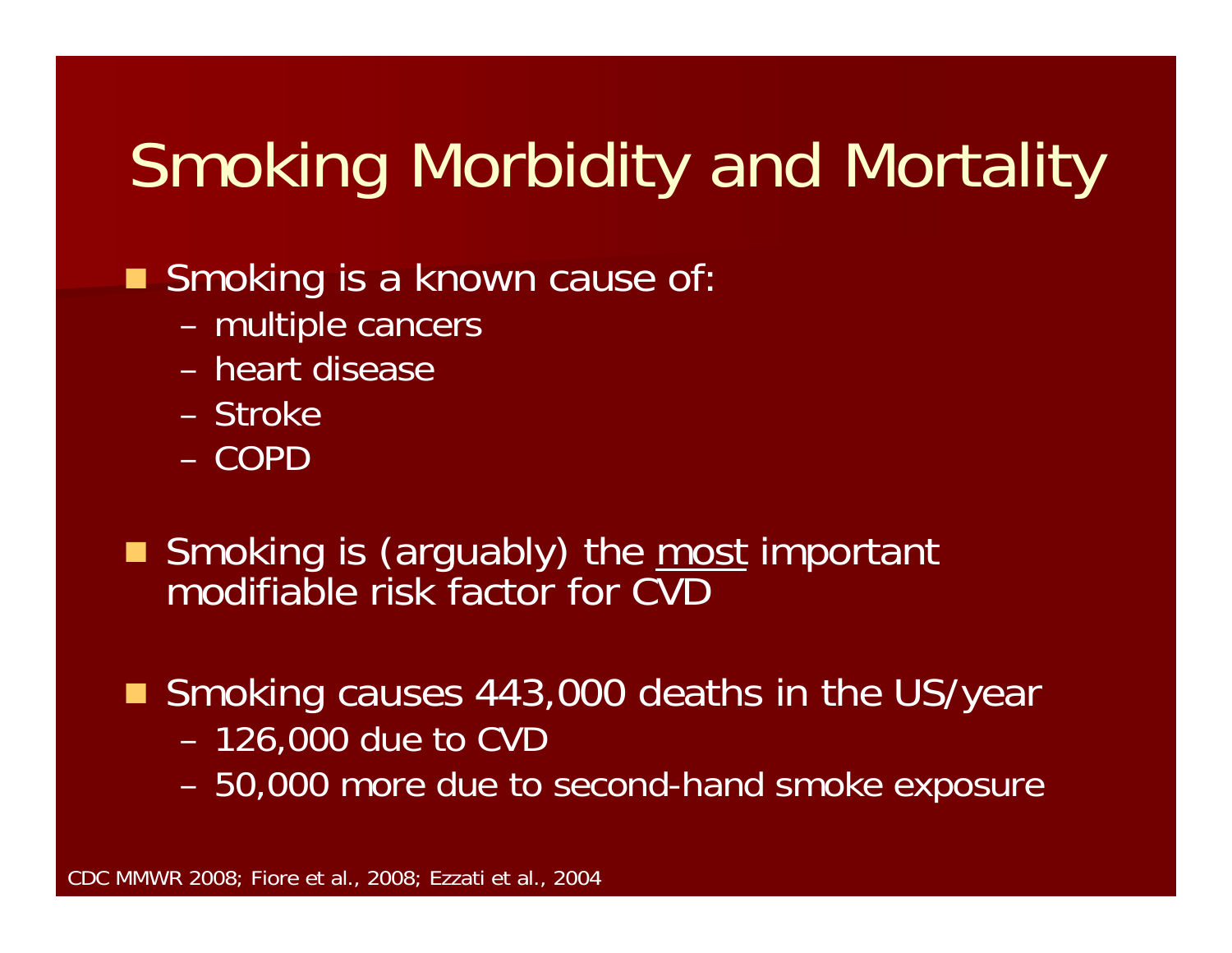# Smoking Morbidity and Mortality

Smoking is a known cause of:

- –multiple cancers
- heart disease
- Stroke
- COPD
- Smoking is (arguably) the most important modifiable risk factor for CVD
- Smoking causes 443,000 deaths in the US/year
	- 126,000 due to CVD
	- –50,000 more due to second-hand smoke exposure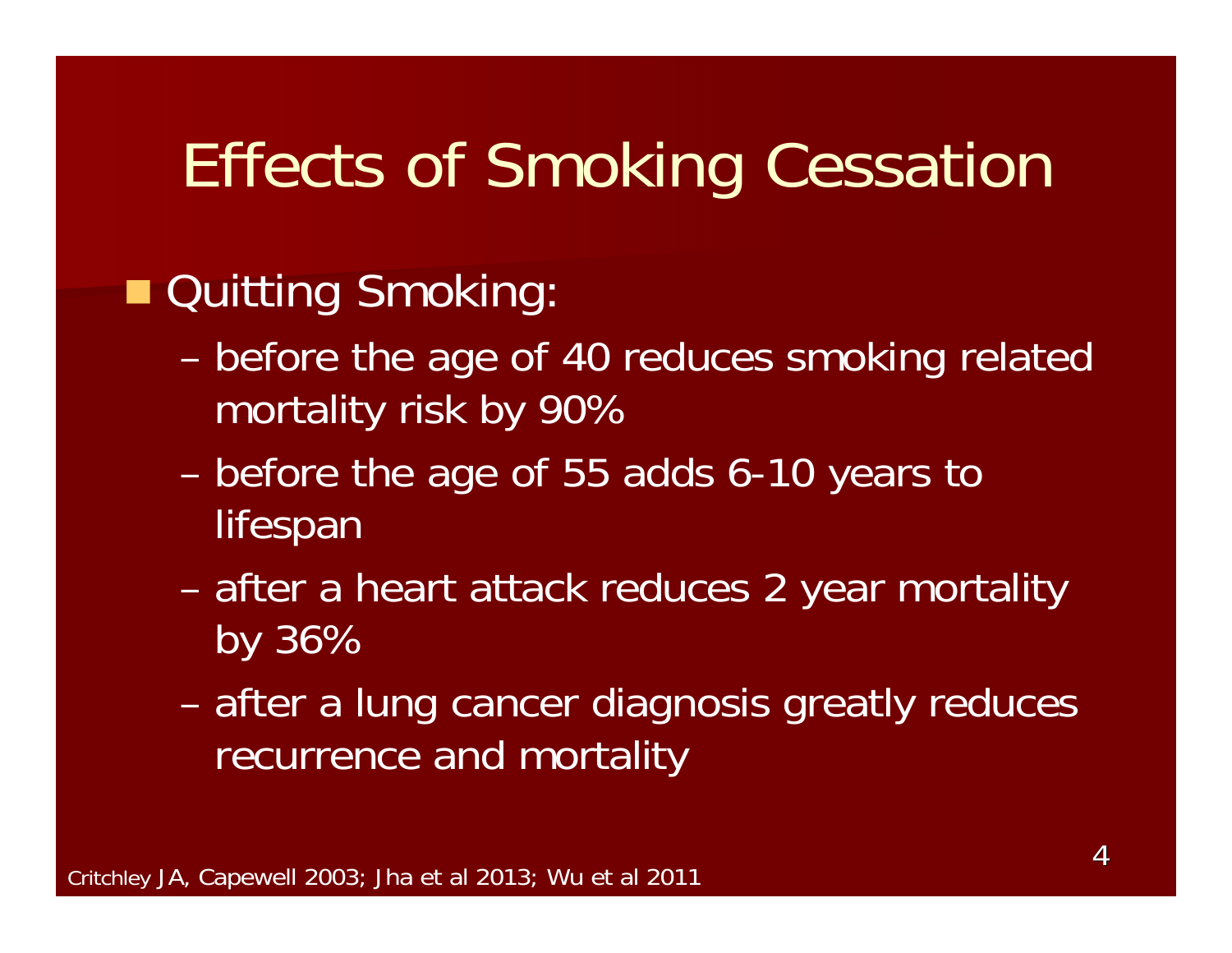## Effects of Smoking Cessation

#### ■ Quitting Smoking:

- – before the age of 40 reduces smoking related mortality risk by 90%
- – before the age of 55 adds 6-10 years to lifespan
- – after a heart attack reduces 2 year mortality by 36%
- – after a lung cancer diagnosis greatly reduces recurrence and mortality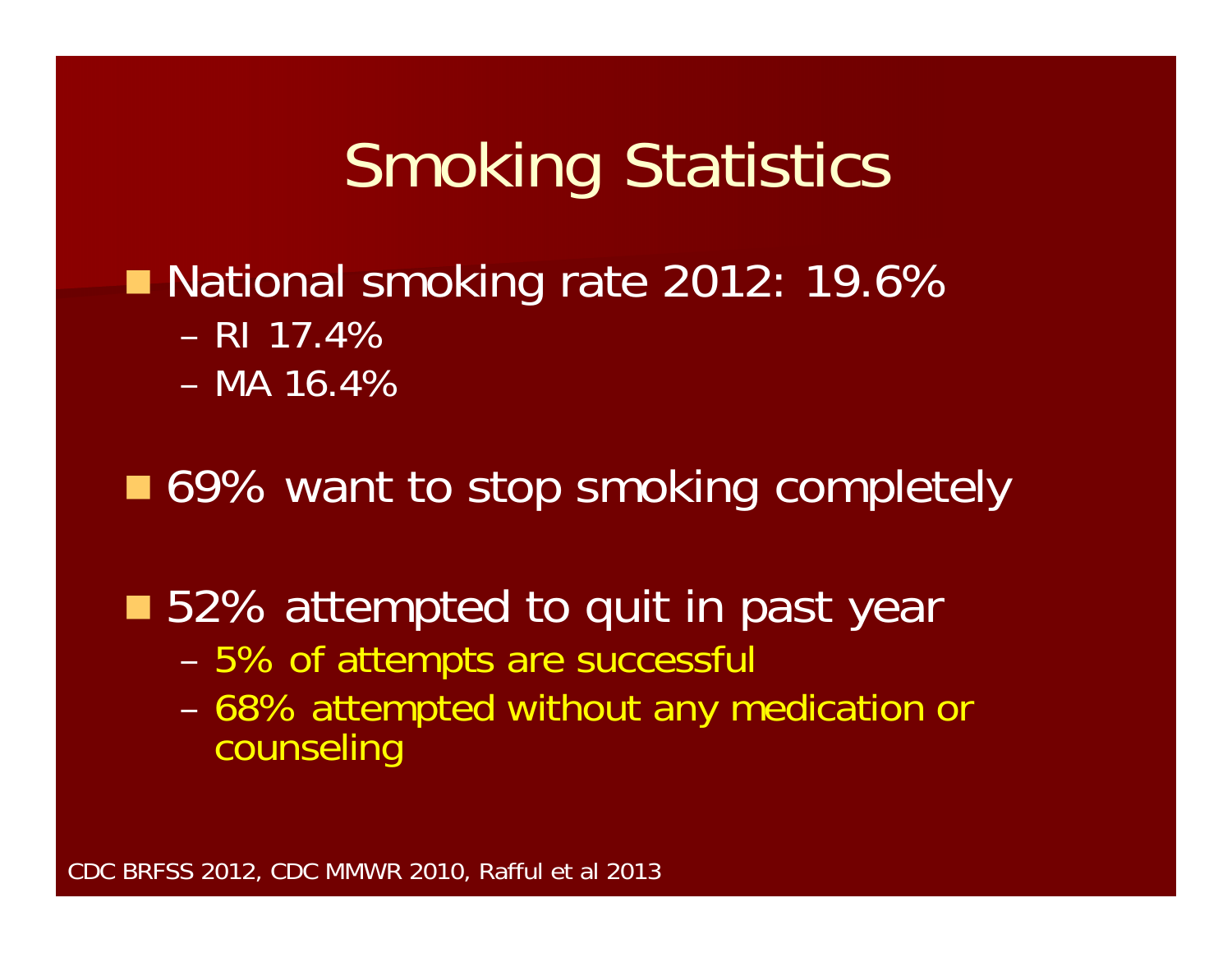## Smoking Statistics

#### ■ National smoking rate 2012: 19.6% – RI 17.4%– MA 16.4%

#### ■ 69% want to stop smoking completely

#### ■ 52% attempted to quit in past year

- –5% of attempts are successful
- – 68% attempted without any medication or counseling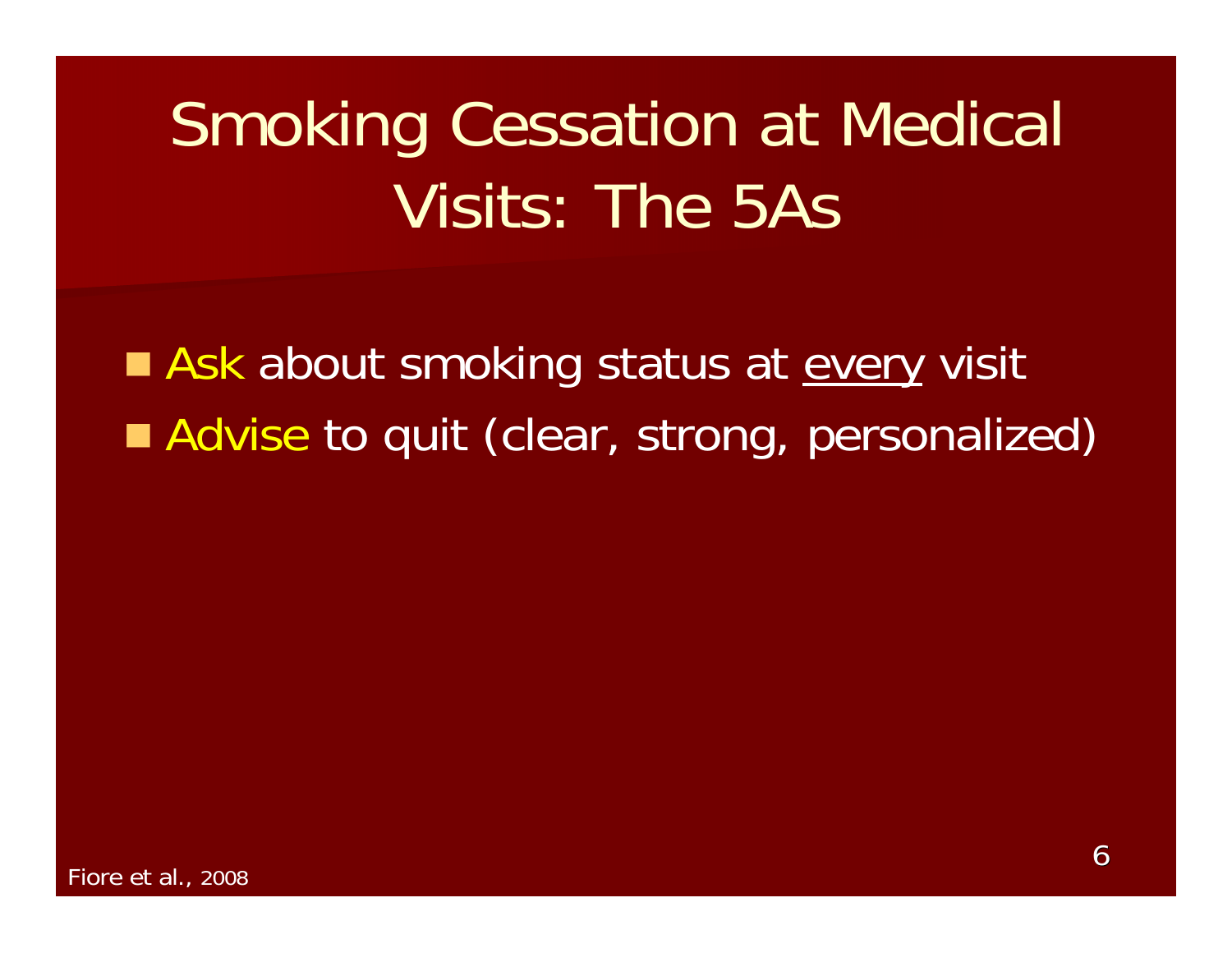Ask about smoking status at every visit Advise to quit (clear, strong, personalized)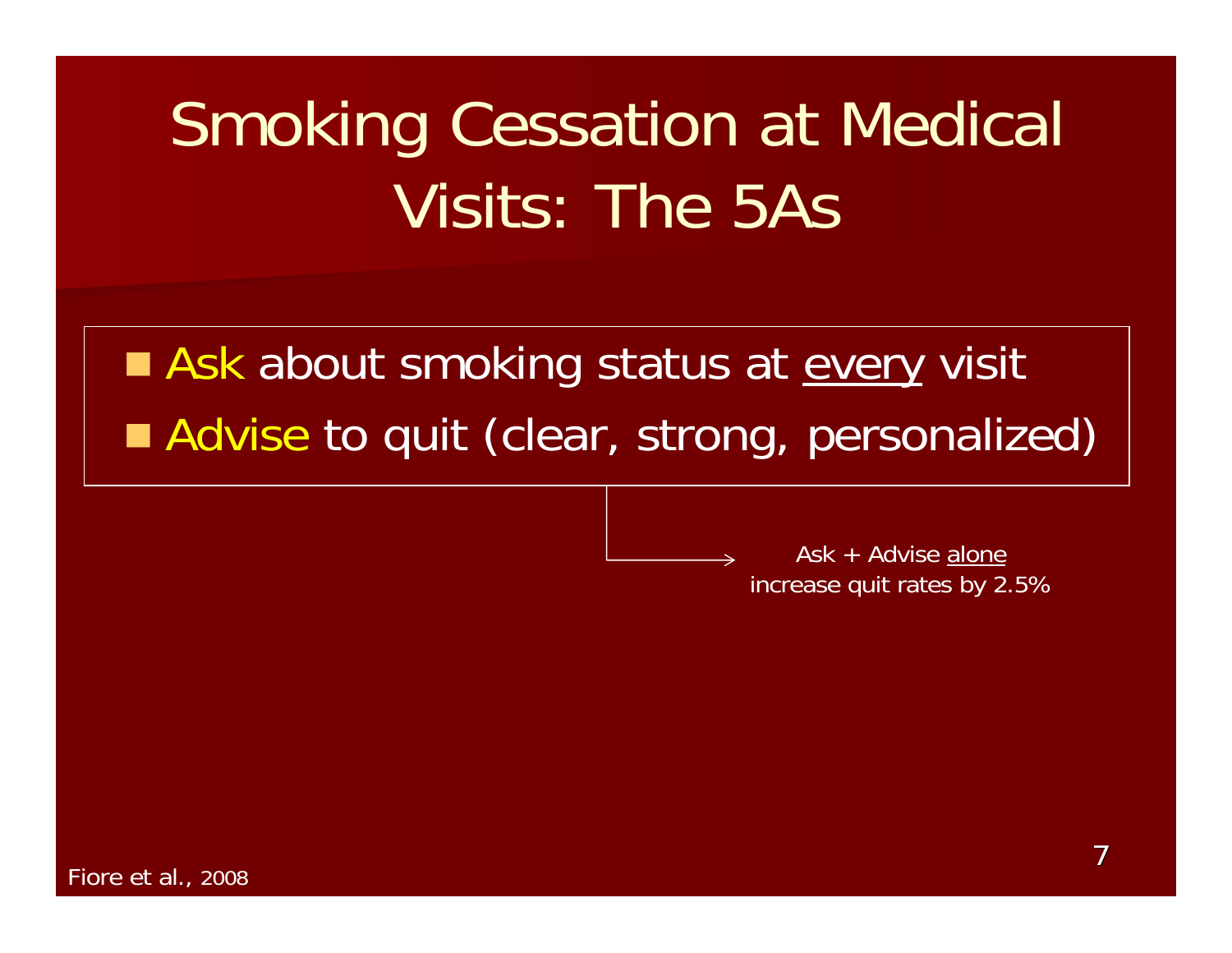Ask about smoking status at every visit Advise to quit (clear, strong, personalized)

> Ask + Advise alone increase quit rates by 2.5%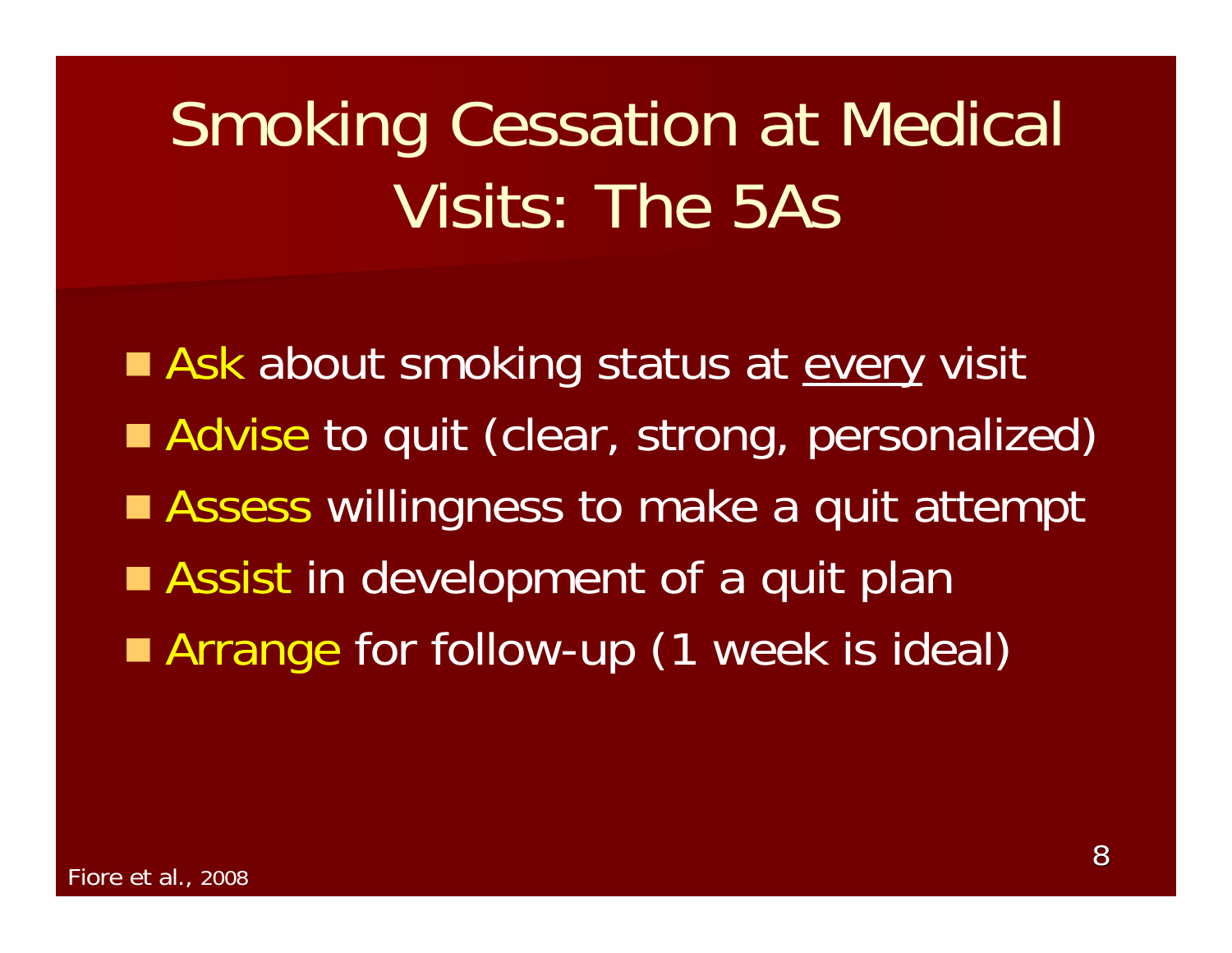Ask about smoking status at every visit Advise to quit (clear, strong, personalized) ■ Assess willingness to make a quit attempt **Assist in development of a quit plan Arrange for follow-up (1 week is ideal)**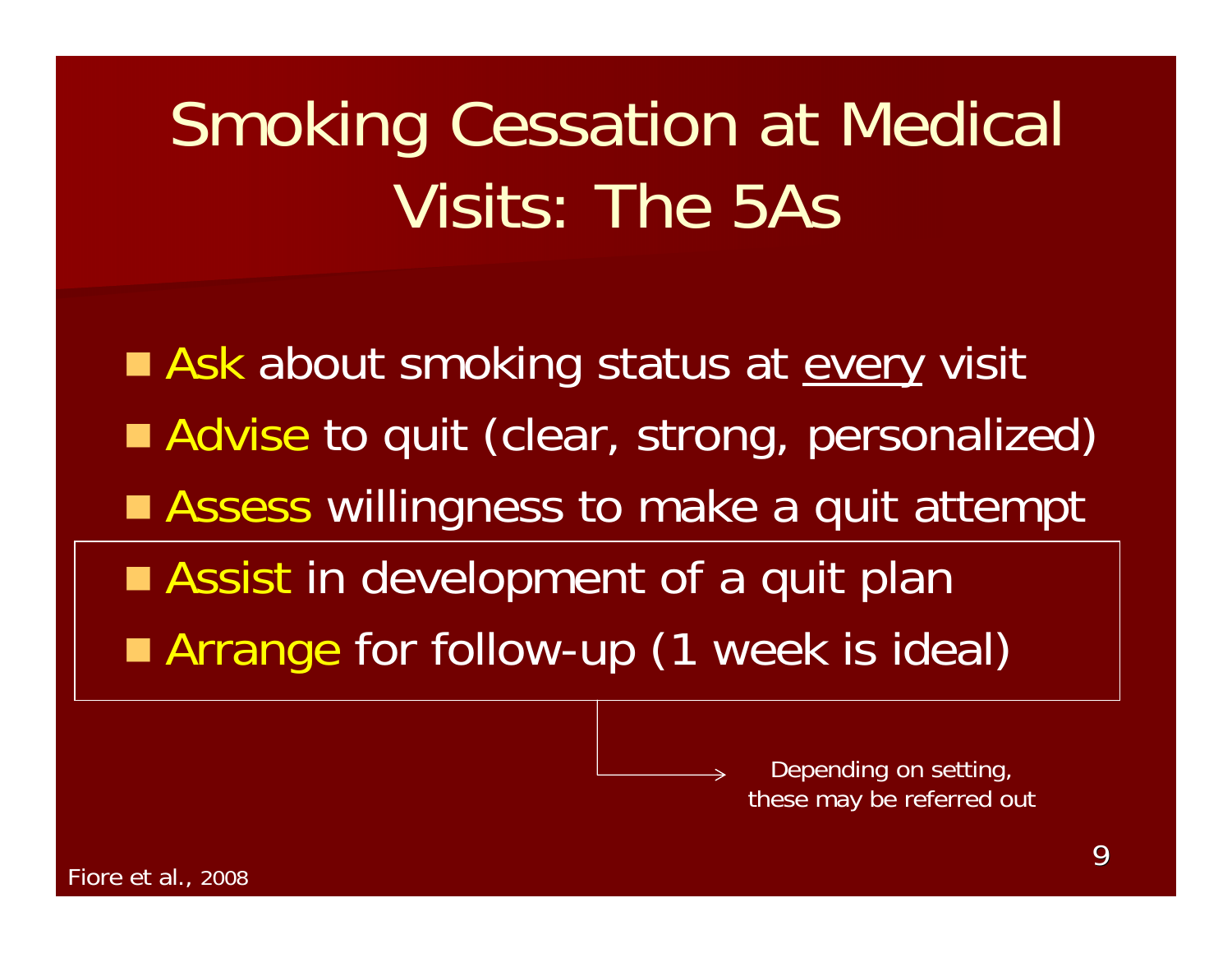Ask about smoking status at every visit Advise to quit (clear, strong, personalized) ■ Assess willingness to make a quit attempt **Assist in development of a quit plan Arrange for follow-up (1 week is ideal)** 

> Depending on setting, these may be referred out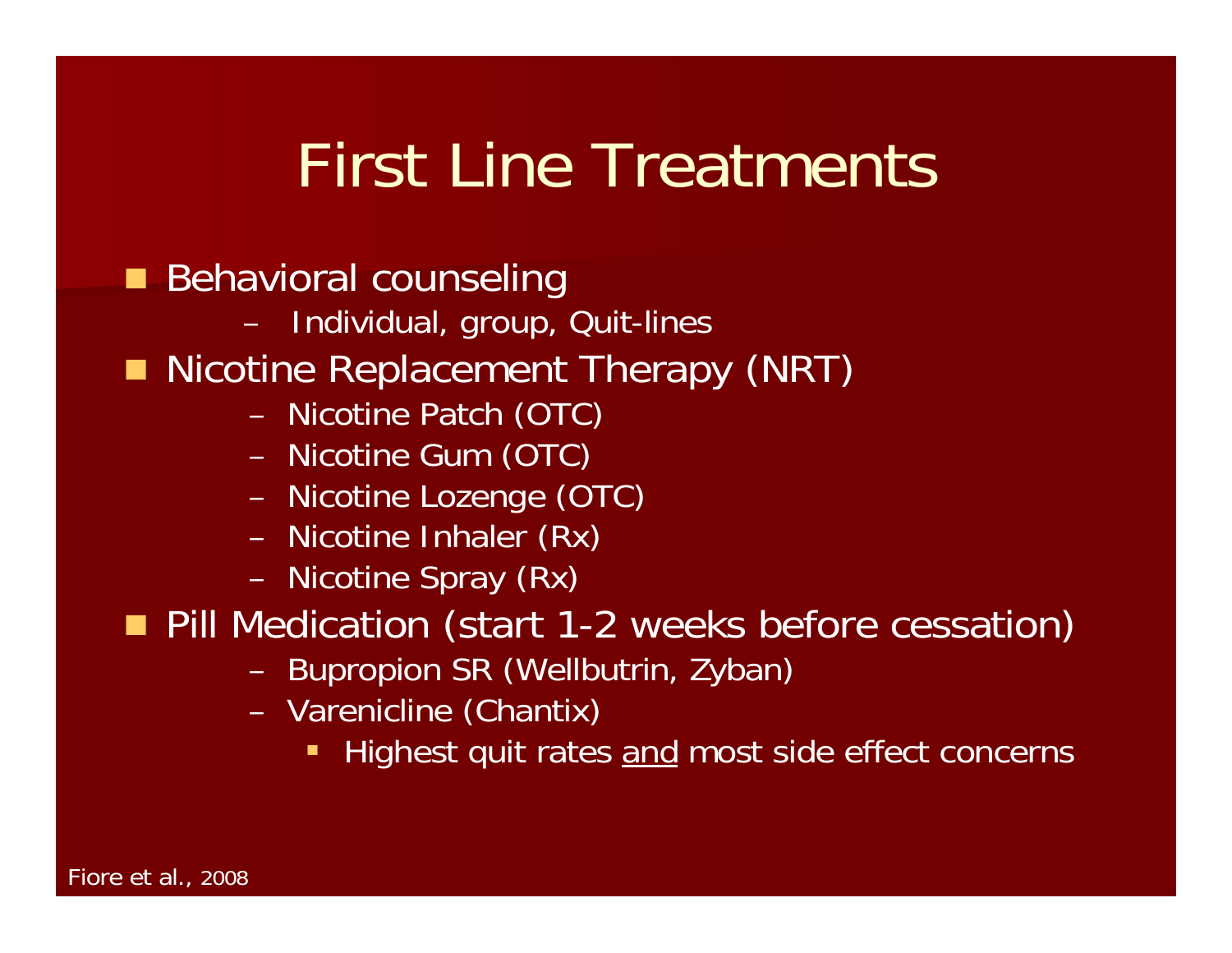## First Line Treatments

- **Behavioral counseling** 
	- –Individual, group, Quit-lines
- **Nicotine Replacement Therapy (NRT)** 
	- –Nicotine Patch (OTC)
	- –Nicotine Gum (OTC)
	- –Nicotine Lozenge (OTC)
	- –Nicotine Inhaler (Rx)
	- –Nicotine Spray (Rx)
- **Pill Medication (start 1-2 weeks before cessation)** 
	- –Bupropion SR (Wellbutrin, Zyban)
	- – Varenicline (Chantix)
		- Ŧ Highest quit rates and most side effect concerns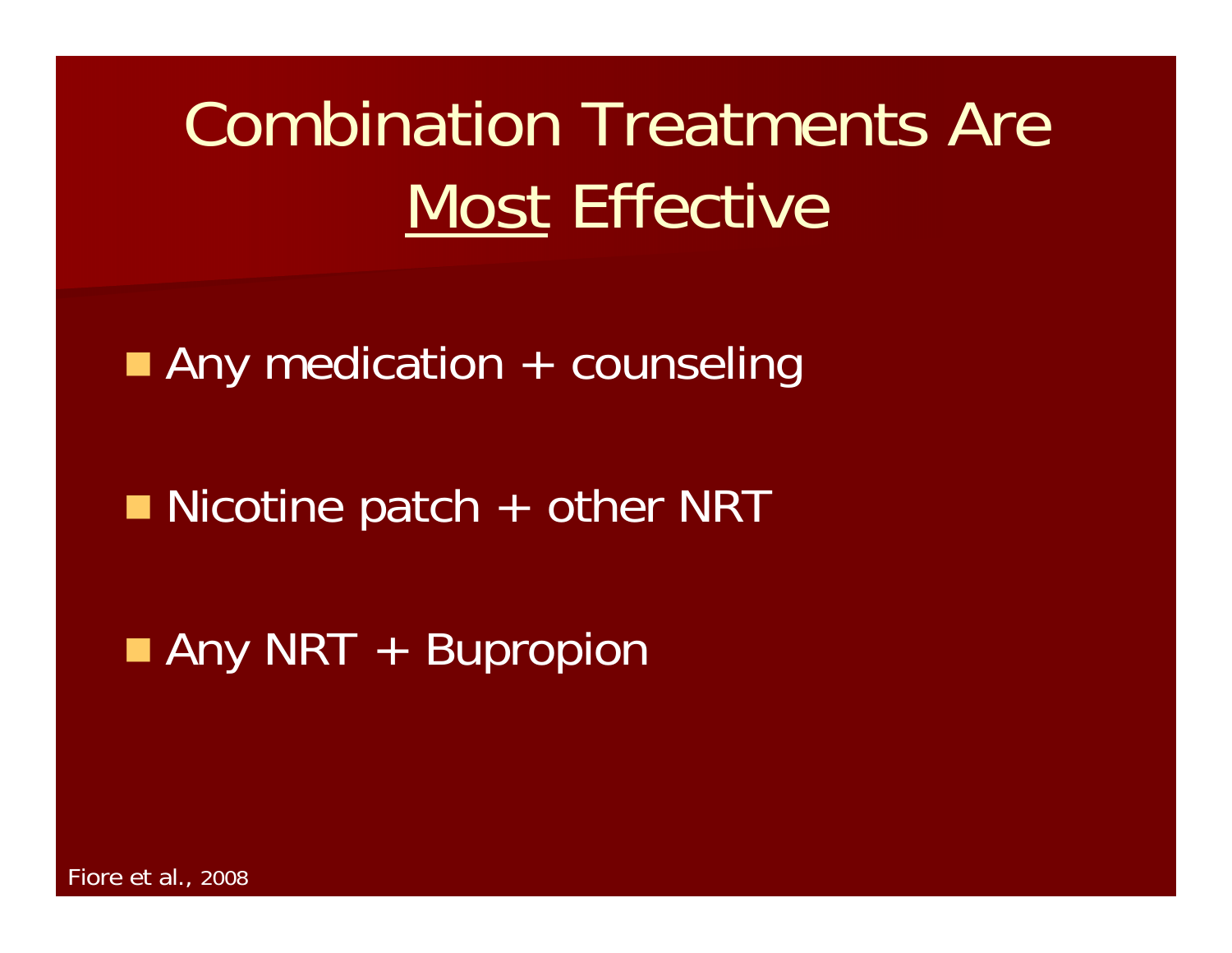# Combination Treatments Are Most Effective

**Any medication + counseling** 

■ Nicotine patch + other NRT

**Any NRT + Bupropion** 

Fiore et al., 2008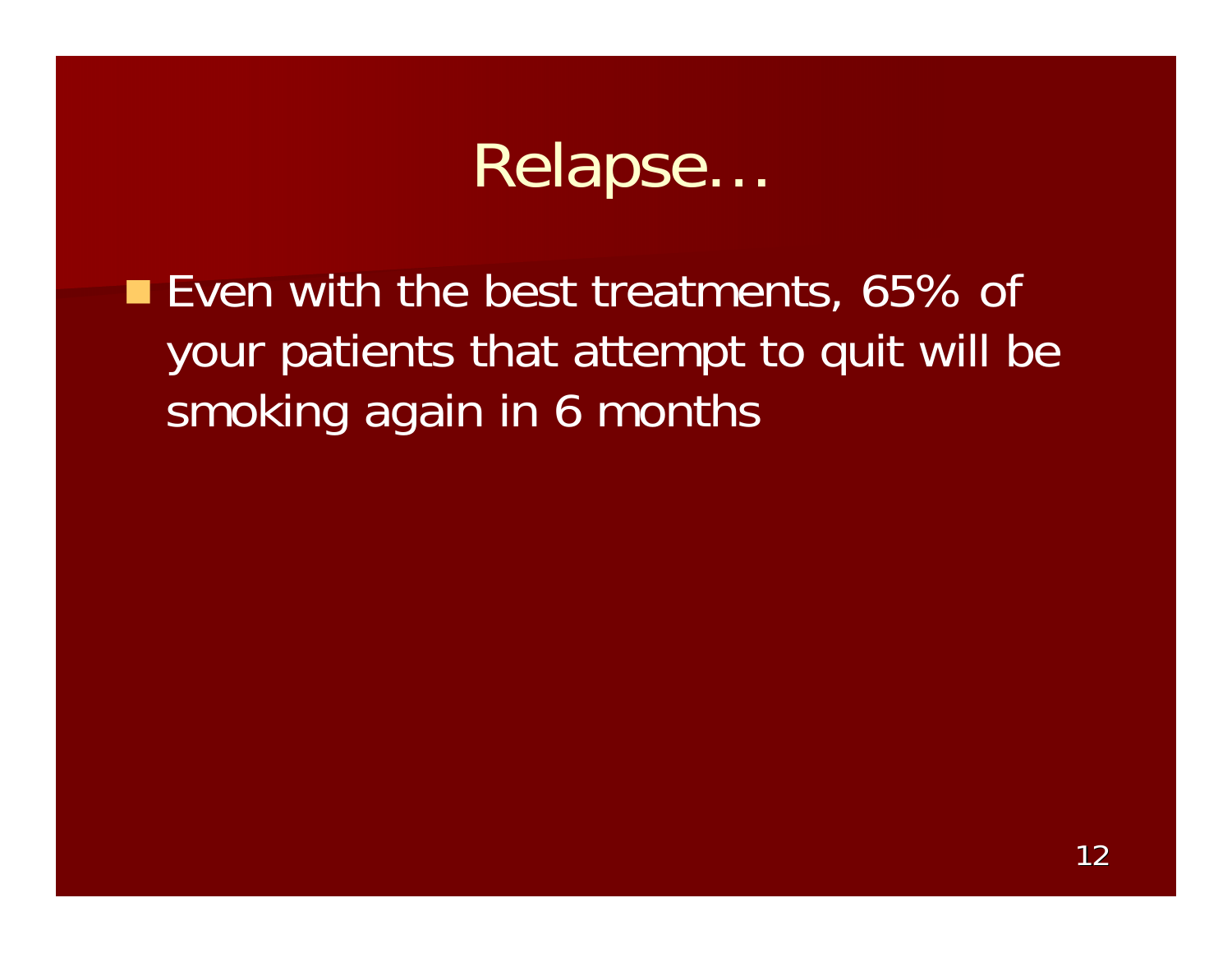### Relapse…

■ Even with the best treatments, 65% of your patients that attempt to quit will be smoking again in 6 months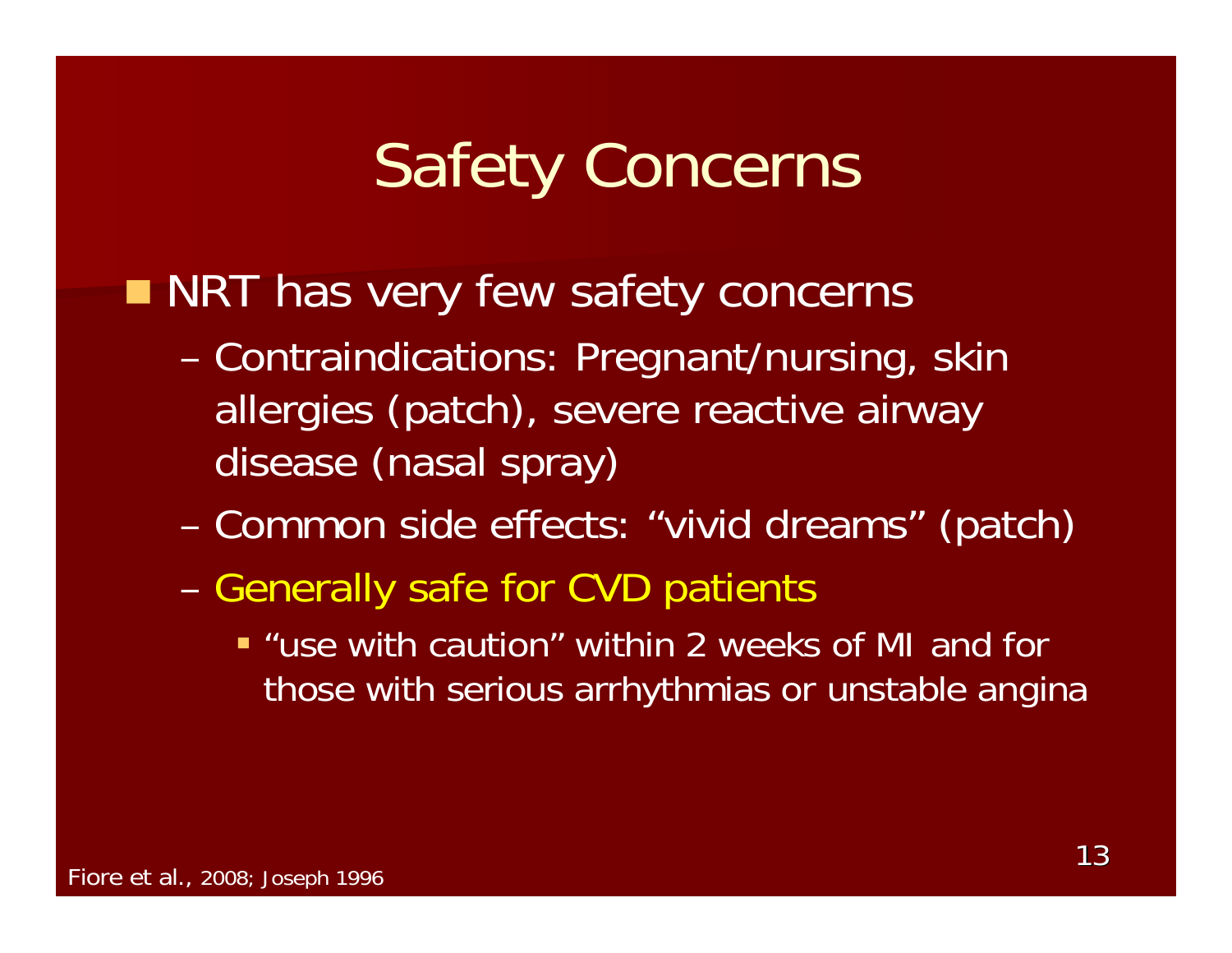## Safety Concerns

#### **NRT has very few safety concerns**

- – Contraindications: Pregnant/nursing, skin allergies (patch), severe reactive airway disease (nasal spray)
- –Common side effects: "vivid dreams" (patch)
- –- Generally safe for CVD patients
	- "use with caution" within 2 weeks of MI and for those with serious arrhythmias or unstable angina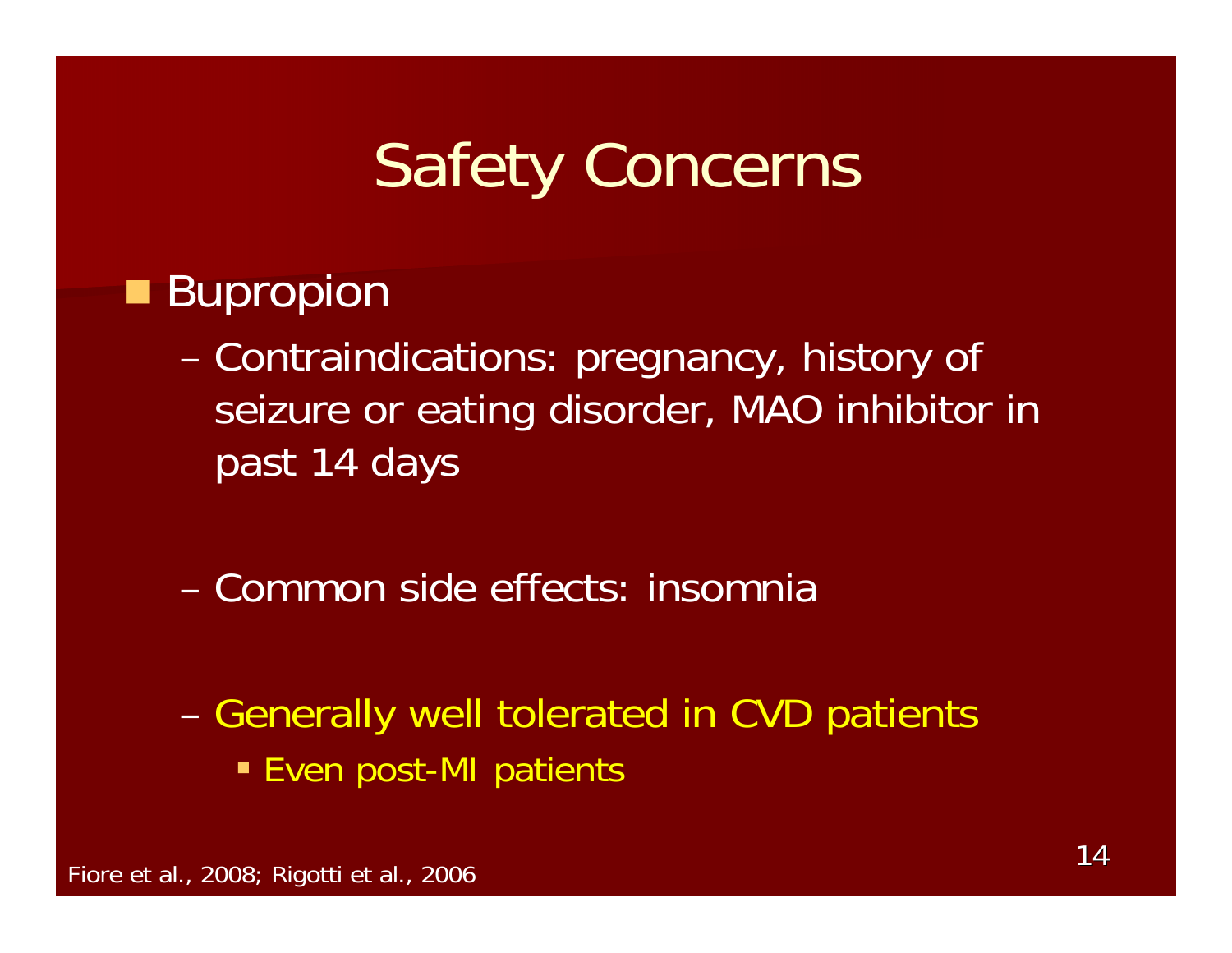## Safety Concerns

#### **Bupropion**

- – Contraindications: pregnancy, history of seizure or eating disorder, MAO inhibitor in past 14 days
- Common side effects: insomnia
- –– Generally well tolerated in CVD patients **Even post-MI patients**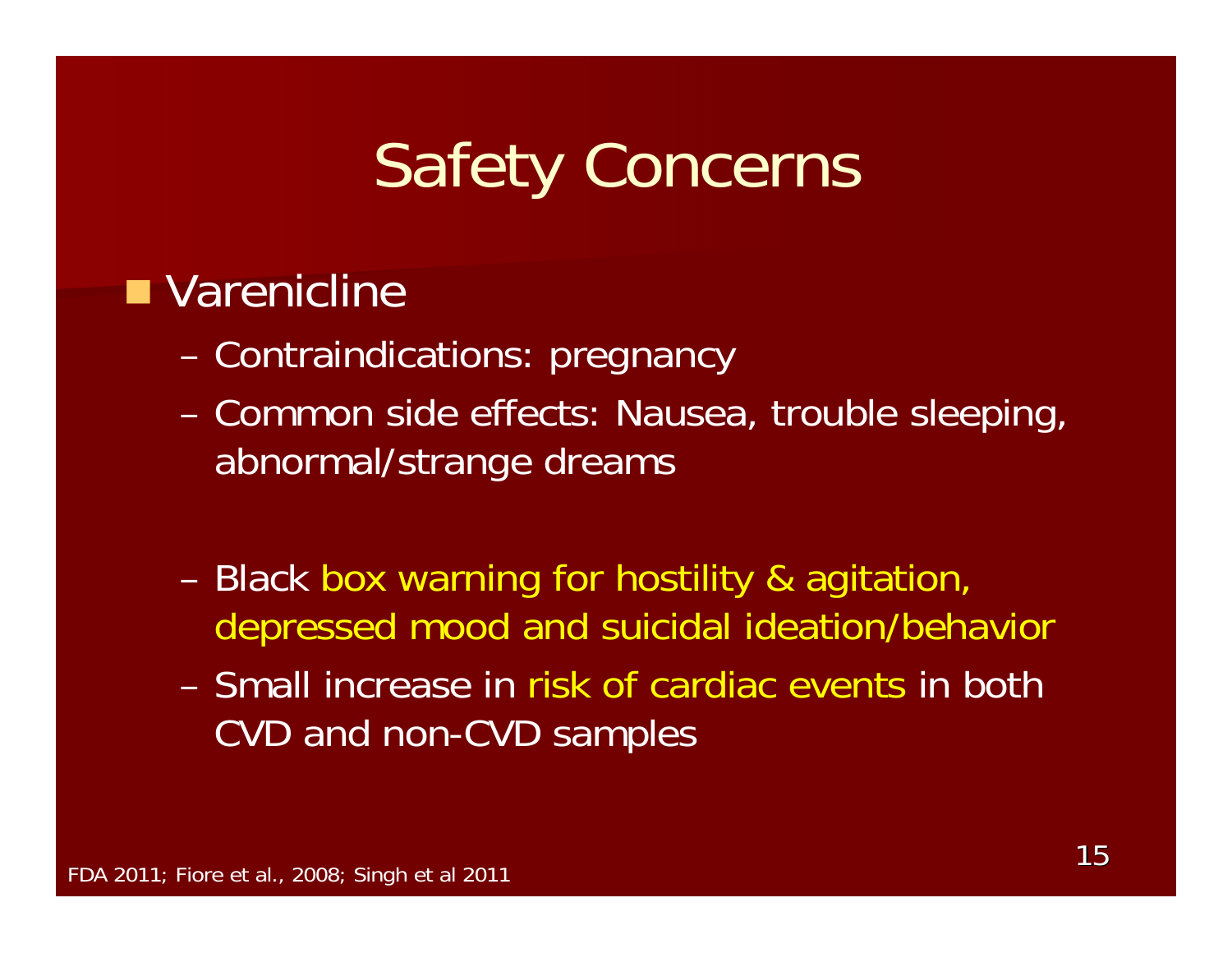## Safety Concerns

#### ■ Varenicline

- –Contraindications: pregnancy
- – Common side effects: Nausea, trouble sleeping, abnormal/strange dreams
- – Black box warning for hostility & agitation, depressed mood and suicidal ideation/behavior
- Small increase in risk of cardiac events in both CVD and non-CVD samples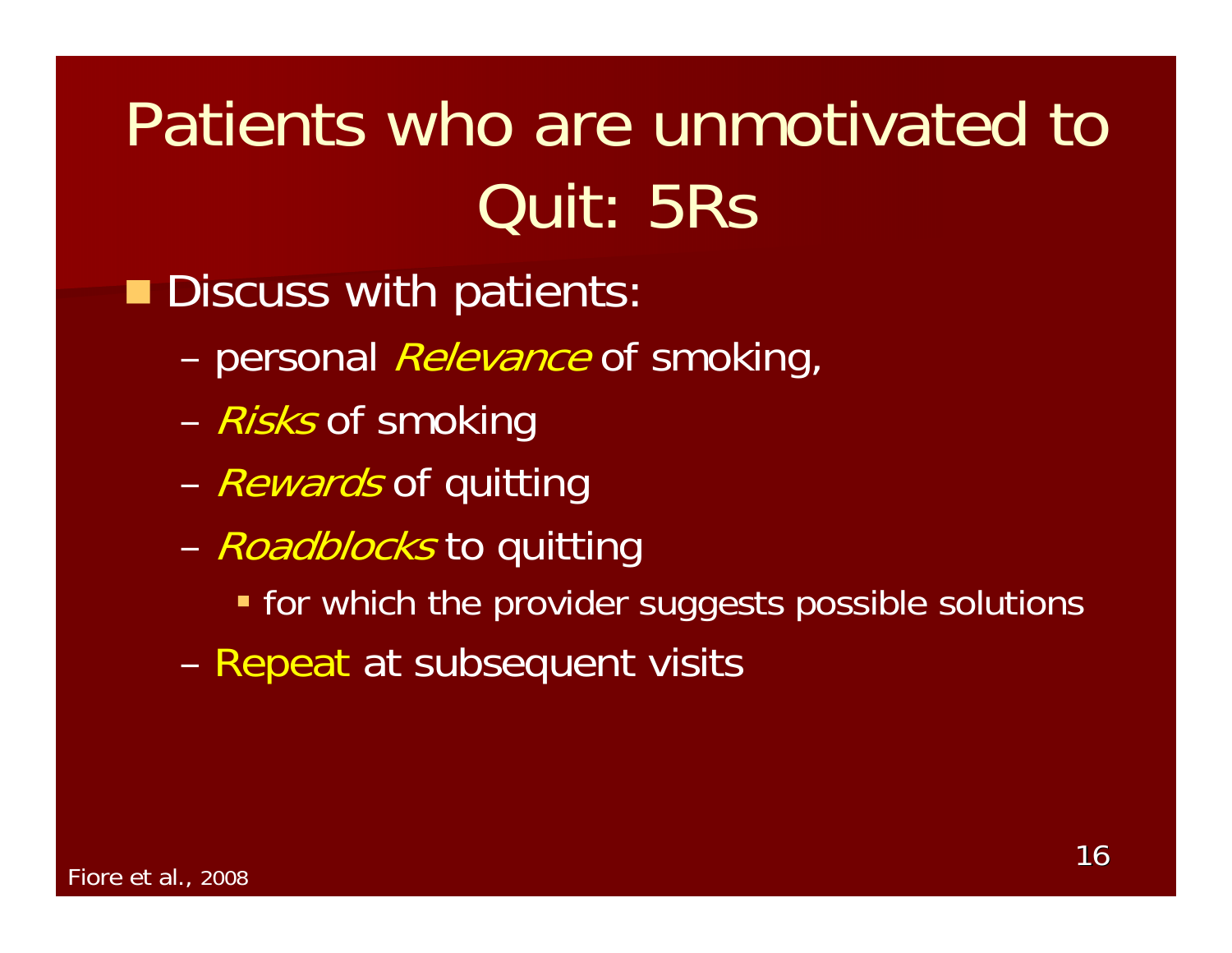# Patients who are unmotivated to Quit: 5Rs

**Discuss with patients:** 

- –personal *Relevance* of smoking,
- –– *Risks* of smoking
- –– *Rewards* of quitting
- –– *Roadblocks* to quitting
	- **The for which the provider suggests possible solutions**
- –– Repeat at subsequent visits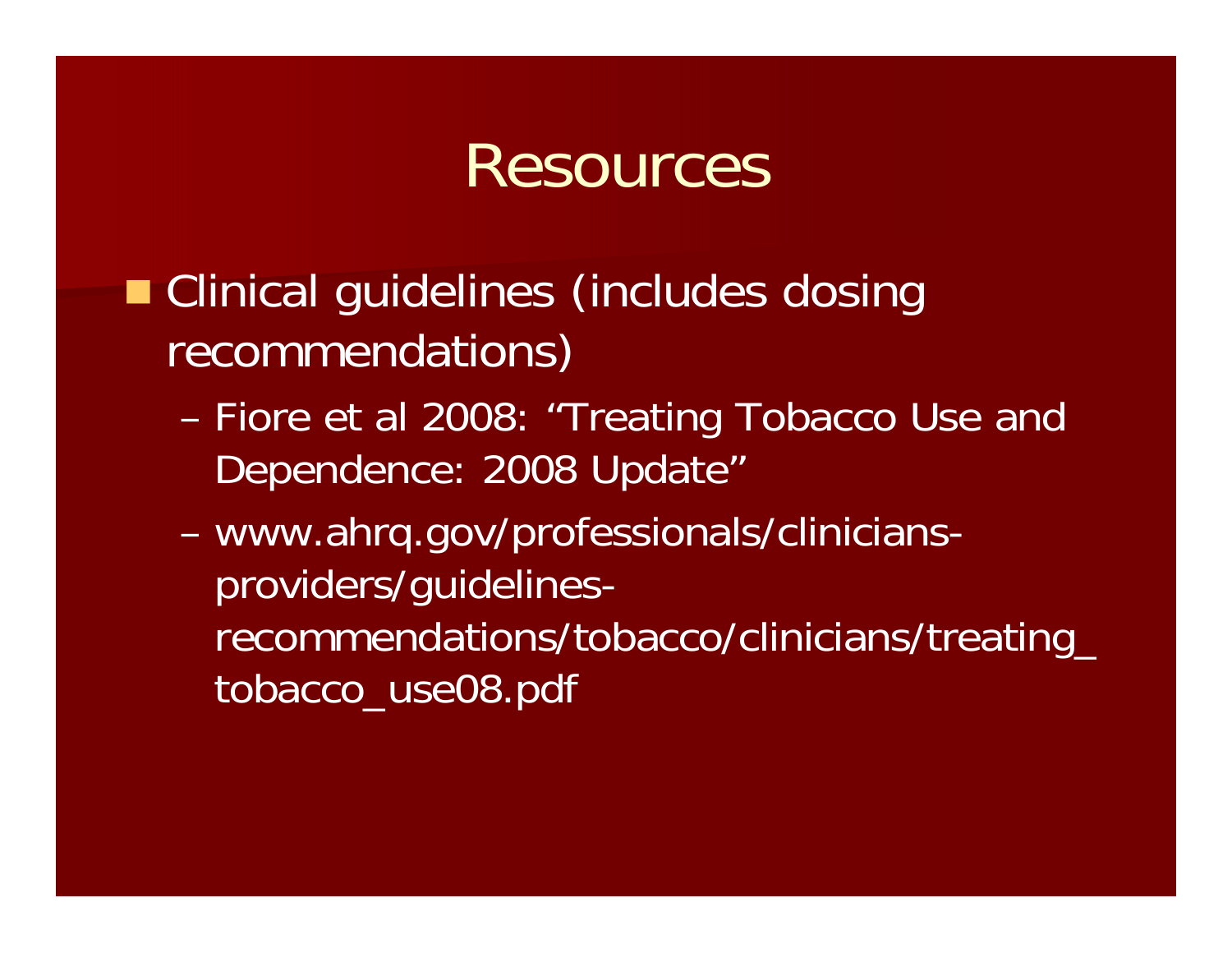### Resources

- **Clinical guidelines (includes dosing** recommendations)
	- – Fiore et al 2008: "Treating Tobacco Use and Dependence: 2008 Update"
	- – www.ahrq.gov/professionals/cliniciansproviders/guidelinesrecommendations/tobacco/clinicians/treating\_ tobacco\_use08.pdf